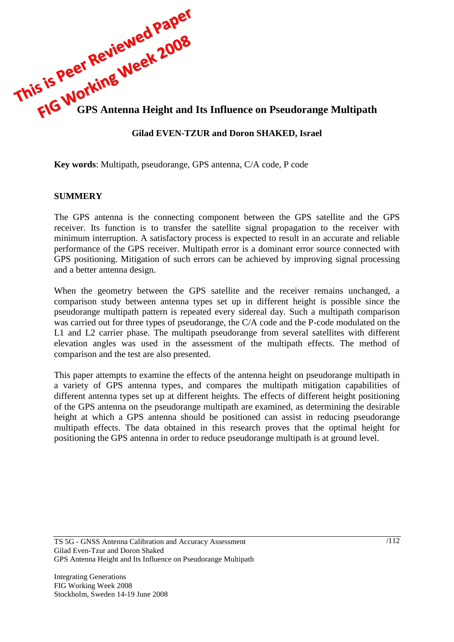

# **Gilad EVEN-TZUR and Doron SHAKED, Israel**

**Key words**: Multipath, pseudorange, GPS antenna, C/A code, P code

#### **SUMMERY**

The GPS antenna is the connecting component between the GPS satellite and the GPS receiver. Its function is to transfer the satellite signal propagation to the receiver with minimum interruption. A satisfactory process is expected to result in an accurate and reliable performance of the GPS receiver. Multipath error is a dominant error source connected with GPS positioning. Mitigation of such errors can be achieved by improving signal processing and a better antenna design.

When the geometry between the GPS satellite and the receiver remains unchanged, a comparison study between antenna types set up in different height is possible since the pseudorange multipath pattern is repeated every sidereal day. Such a multipath comparison was carried out for three types of pseudorange, the C/A code and the P-code modulated on the L1 and L2 carrier phase. The multipath pseudorange from several satellites with different elevation angles was used in the assessment of the multipath effects. The method of comparison and the test are also presented.

This paper attempts to examine the effects of the antenna height on pseudorange multipath in a variety of GPS antenna types, and compares the multipath mitigation capabilities of different antenna types set up at different heights. The effects of different height positioning of the GPS antenna on the pseudorange multipath are examined, as determining the desirable height at which a GPS antenna should be positioned can assist in reducing pseudorange multipath effects. The data obtained in this research proves that the optimal height for positioning the GPS antenna in order to reduce pseudorange multipath is at ground level.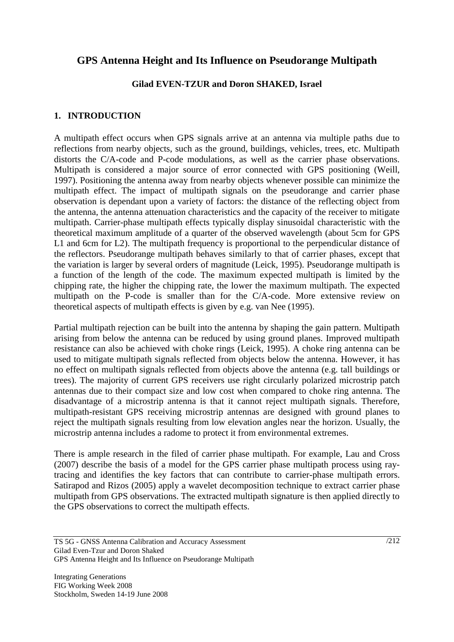# **GPS Antenna Height and Its Influence on Pseudorange Multipath**

#### **Gilad EVEN-TZUR and Doron SHAKED, Israel**

## **1. INTRODUCTION**

A multipath effect occurs when GPS signals arrive at an antenna via multiple paths due to reflections from nearby objects, such as the ground, buildings, vehicles, trees, etc. Multipath distorts the C/A-code and P-code modulations, as well as the carrier phase observations. Multipath is considered a major source of error connected with GPS positioning (Weill, 1997). Positioning the antenna away from nearby objects whenever possible can minimize the multipath effect. The impact of multipath signals on the pseudorange and carrier phase observation is dependant upon a variety of factors: the distance of the reflecting object from the antenna, the antenna attenuation characteristics and the capacity of the receiver to mitigate multipath. Carrier-phase multipath effects typically display sinusoidal characteristic with the theoretical maximum amplitude of a quarter of the observed wavelength (about 5cm for GPS L1 and 6cm for L2). The multipath frequency is proportional to the perpendicular distance of the reflectors. Pseudorange multipath behaves similarly to that of carrier phases, except that the variation is larger by several orders of magnitude (Leick, 1995). Pseudorange multipath is a function of the length of the code. The maximum expected multipath is limited by the chipping rate, the higher the chipping rate, the lower the maximum multipath. The expected multipath on the P-code is smaller than for the C/A-code. More extensive review on theoretical aspects of multipath effects is given by e.g. van Nee (1995).

Partial multipath rejection can be built into the antenna by shaping the gain pattern. Multipath arising from below the antenna can be reduced by using ground planes. Improved multipath resistance can also be achieved with choke rings (Leick, 1995). A choke ring antenna can be used to mitigate multipath signals reflected from objects below the antenna. However, it has no effect on multipath signals reflected from objects above the antenna (e.g. tall buildings or trees). The majority of current GPS receivers use right circularly polarized microstrip patch antennas due to their compact size and low cost when compared to choke ring antenna. The disadvantage of a microstrip antenna is that it cannot reject multipath signals. Therefore, multipath-resistant GPS receiving microstrip antennas are designed with ground planes to reject the multipath signals resulting from low elevation angles near the horizon. Usually, the microstrip antenna includes a radome to protect it from environmental extremes.

There is ample research in the filed of carrier phase multipath. For example, Lau and Cross (2007) describe the basis of a model for the GPS carrier phase multipath process using raytracing and identifies the key factors that can contribute to carrier-phase multipath errors. Satirapod and Rizos (2005) apply a wavelet decomposition technique to extract carrier phase multipath from GPS observations. The extracted multipath signature is then applied directly to the GPS observations to correct the multipath effects.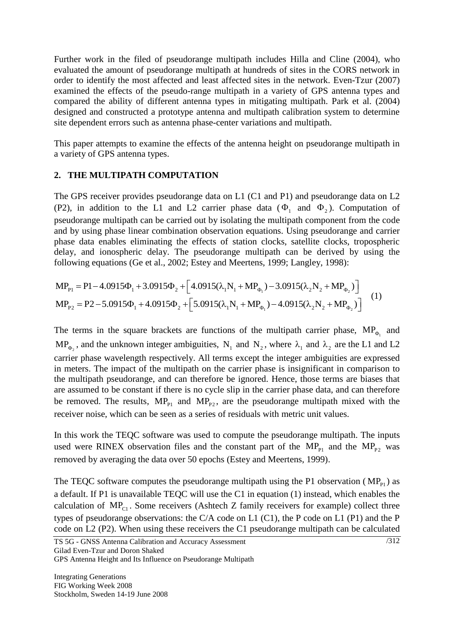Further work in the filed of pseudorange multipath includes Hilla and Cline (2004), who evaluated the amount of pseudorange multipath at hundreds of sites in the CORS network in order to identify the most affected and least affected sites in the network. Even-Tzur (2007) examined the effects of the pseudo-range multipath in a variety of GPS antenna types and compared the ability of different antenna types in mitigating multipath. Park et al. (2004) designed and constructed a prototype antenna and multipath calibration system to determine site dependent errors such as antenna phase-center variations and multipath.

This paper attempts to examine the effects of the antenna height on pseudorange multipath in a variety of GPS antenna types.

## **2. THE MULTIPATH COMPUTATION**

The GPS receiver provides pseudorange data on L1 (C1 and P1) and pseudorange data on L2 (P2), in addition to the L1 and L2 carrier phase data ( $\Phi_1$  and  $\Phi_2$ ). Computation of pseudorange multipath can be carried out by isolating the multipath component from the code and by using phase linear combination observation equations. Using pseudorange and carrier phase data enables eliminating the effects of station clocks, satellite clocks, tropospheric delay, and ionospheric delay. The pseudorange multipath can be derived by using the following equations (Ge et al., 2002; Estey and Meertens, 1999; Langley, 1998):<br>  $MP_{\text{Pl}} = \text{Pl} - 4.0915\Phi_1 + 3.0915\Phi_2 + \left[4.0915(\lambda_1 N_1 +$ following equations (Ge et al., 2002; Estey and Meertens, 1999; Langley, 1998):

$$
MP_{p_1} = P1 - 4.0915\Phi_1 + 3.0915\Phi_2 + \left[4.0915(\lambda_1 N_1 + MP_{\phi_1}) - 3.0915(\lambda_2 N_2 + MP_{\phi_2})\right]
$$
  
\n
$$
MP_{p_2} = P2 - 5.0915\Phi_1 + 4.0915\Phi_2 + \left[5.0915(\lambda_1 N_1 + MP_{\phi_1}) - 4.0915(\lambda_2 N_2 + MP_{\phi_2})\right]
$$
  
\n(1)

The terms in the square brackets are functions of the multipath carrier phase,  $MP_{\phi_1}$  and  $MP_{\phi_2}$ , and the unknown integer ambiguities,  $N_1$  and  $N_2$ , where  $\lambda_1$  and  $\lambda_2$  are the L1 and L2 carrier phase wavelength respectively. All terms except the integer ambiguities are expressed in meters. The impact of the multipath on the carrier phase is insignificant in comparison to the multipath pseudorange, and can therefore be ignored. Hence, those terms are biases that are assumed to be constant if there is no cycle slip in the carrier phase data, and can therefore be removed. The results,  $MP_{P1}$  and  $MP_{P2}$ , are the pseudorange multipath mixed with the receiver noise, which can be seen as a series of residuals with metric unit values.

In this work the TEQC software was used to compute the pseudorange multipath. The inputs used were RINEX observation files and the constant part of the  $MP_{P1}$  and the  $MP_{P2}$  was removed by averaging the data over 50 epochs (Estey and Meertens, 1999).

The TEQC software computes the pseudorange multipath using the P1 observation ( $MP_{Pl}$ ) as a default. If P1 is unavailable TEQC will use the C1 in equation (1) instead, which enables the calculation of  $MP_{c1}$ . Some receivers (Ashtech Z family receivers for example) collect three types of pseudorange observations: the C/A code on L1 (C1), the P code on L1 (P1) and the P code on L2 (P2). When using these receivers the C1 pseudorange multipath can be calculated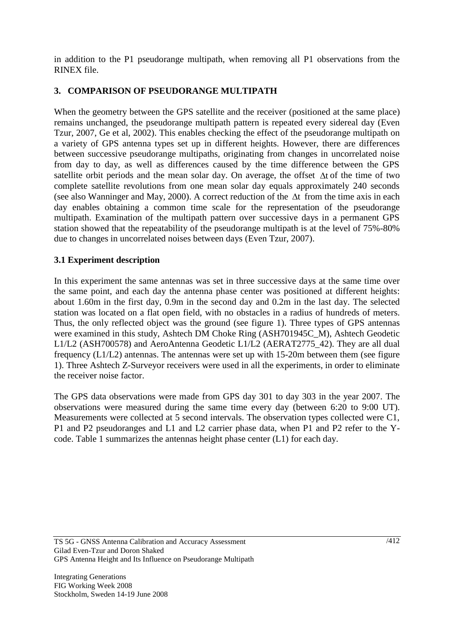in addition to the P1 pseudorange multipath, when removing all P1 observations from the RINEX file.

# **3. COMPARISON OF PSEUDORANGE MULTIPATH**

When the geometry between the GPS satellite and the receiver (positioned at the same place) remains unchanged, the pseudorange multipath pattern is repeated every sidereal day (Even Tzur, 2007, Ge et al, 2002). This enables checking the effect of the pseudorange multipath on a variety of GPS antenna types set up in different heights. However, there are differences between successive pseudorange multipaths, originating from changes in uncorrelated noise from day to day, as well as differences caused by the time difference between the GPS satellite orbit periods and the mean solar day. On average, the offset  $\Delta t$  of the time of two complete satellite revolutions from one mean solar day equals approximately 240 seconds (see also Wanninger and May, 2000). A correct reduction of the  $\Delta t$  from the time axis in each day enables obtaining a common time scale for the representation of the pseudorange multipath. Examination of the multipath pattern over successive days in a permanent GPS station showed that the repeatability of the pseudorange multipath is at the level of 75%-80% due to changes in uncorrelated noises between days (Even Tzur, 2007).

# **3.1 Experiment description**

In this experiment the same antennas was set in three successive days at the same time over the same point, and each day the antenna phase center was positioned at different heights: about 1.60m in the first day, 0.9m in the second day and 0.2m in the last day. The selected station was located on a flat open field, with no obstacles in a radius of hundreds of meters. Thus, the only reflected object was the ground (see figure 1). Three types of GPS antennas were examined in this study, Ashtech DM Choke Ring (ASH701945C\_M), Ashtech Geodetic L1/L2 (ASH700578) and AeroAntenna Geodetic L1/L2 (AERAT2775\_42). They are all dual frequency (L1/L2) antennas. The antennas were set up with 15-20m between them (see figure 1). Three Ashtech Z-Surveyor receivers were used in all the experiments, in order to eliminate the receiver noise factor.

The GPS data observations were made from GPS day 301 to day 303 in the year 2007. The observations were measured during the same time every day (between 6:20 to 9:00 UT). Measurements were collected at 5 second intervals. The observation types collected were C1, P1 and P2 pseudoranges and L1 and L2 carrier phase data, when P1 and P2 refer to the Ycode. Table 1 summarizes the antennas height phase center (L1) for each day.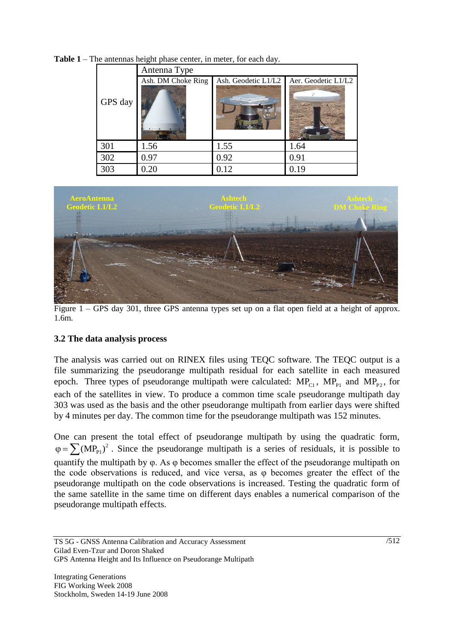|  | GPS day | Antenna Type       |                     |                     |  |  |  |  |  |
|--|---------|--------------------|---------------------|---------------------|--|--|--|--|--|
|  |         | Ash. DM Choke Ring | Ash. Geodetic L1/L2 | Aer. Geodetic L1/L2 |  |  |  |  |  |
|  | 301     | 1.56               | 1.55                | 1.64                |  |  |  |  |  |
|  | 302     | 0.97               | 0.92                | 0.91                |  |  |  |  |  |
|  | 303     | 0.20               | 0.12                | 0.19                |  |  |  |  |  |

**Table 1** – The antennas height phase center, in meter, for each day.



Figure 1 – GPS day 301, three GPS antenna types set up on a flat open field at a height of approx. 1.6m.

## **3.2 The data analysis process**

The analysis was carried out on RINEX files using TEQC software. The TEQC output is a file summarizing the pseudorange multipath residual for each satellite in each measured epoch. Three types of pseudorange multipath were calculated:  $MP_{C1}$ ,  $MP_{P1}$  and  $MP_{P2}$ , for each of the satellites in view. To produce a common time scale pseudorange multipath day 303 was used as the basis and the other pseudorange multipath from earlier days were shifted by 4 minutes per day. The common time for the pseudorange multipath was 152 minutes.

One can present the total effect of pseudorange multipath by using the quadratic form,  $\varphi = \sum (MP_{P1})^2$ . Since the pseudorange multipath is a series of residuals, it is possible to quantify the multipath by φ. As φ becomes smaller the effect of the pseudorange multipath on the code observations is reduced, and vice versa, as φ becomes greater the effect of the pseudorange multipath on the code observations is increased. Testing the quadratic form of the same satellite in the same time on different days enables a numerical comparison of the pseudorange multipath effects.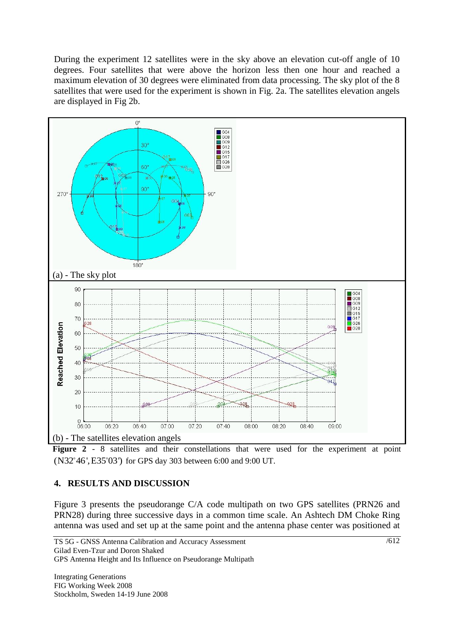During the experiment 12 satellites were in the sky above an elevation cut-off angle of 10 degrees. Four satellites that were above the horizon less then one hour and reached a maximum elevation of 30 degrees were eliminated from data processing. The sky plot of the 8 satellites that were used for the experiment is shown in Fig. 2a. The satellites elevation angels are displayed in Fig 2b.



Figure 2 - 8 satellites and their constellations that were used for the experiment at point (N32 46',E35 03') for GPS day 303 between 6:00 and 9:00 UT.

# **4. RESULTS AND DISCUSSION**

Figure 3 presents the pseudorange C/A code multipath on two GPS satellites (PRN26 and PRN28) during three successive days in a common time scale. An Ashtech DM Choke Ring antenna was used and set up at the same point and the antenna phase center was positioned at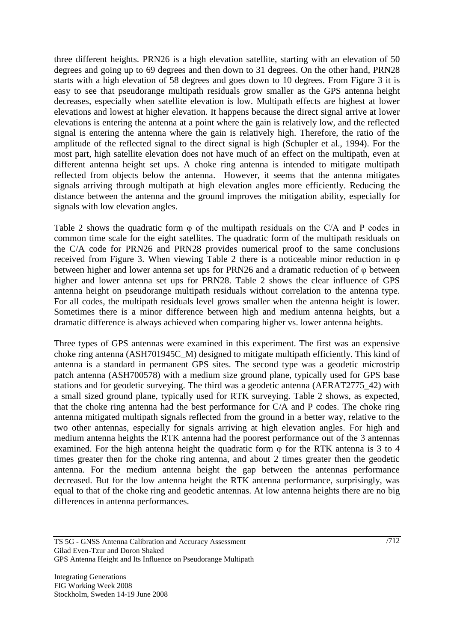three different heights. PRN26 is a high elevation satellite, starting with an elevation of 50 degrees and going up to 69 degrees and then down to 31 degrees. On the other hand, PRN28 starts with a high elevation of 58 degrees and goes down to 10 degrees. From Figure 3 it is easy to see that pseudorange multipath residuals grow smaller as the GPS antenna height decreases, especially when satellite elevation is low. Multipath effects are highest at lower elevations and lowest at higher elevation. It happens because the direct signal arrive at lower elevations is entering the antenna at a point where the gain is relatively low, and the reflected signal is entering the antenna where the gain is relatively high. Therefore, the ratio of the amplitude of the reflected signal to the direct signal is high (Schupler et al., 1994). For the most part, high satellite elevation does not have much of an effect on the multipath, even at different antenna height set ups. A choke ring antenna is intended to mitigate multipath reflected from objects below the antenna. However, it seems that the antenna mitigates signals arriving through multipath at high elevation angles more efficiently. Reducing the distance between the antenna and the ground improves the mitigation ability, especially for signals with low elevation angles.

Table 2 shows the quadratic form  $\varphi$  of the multipath residuals on the C/A and P codes in common time scale for the eight satellites. The quadratic form of the multipath residuals on the C/A code for PRN26 and PRN28 provides numerical proof to the same conclusions received from Figure 3. When viewing Table 2 there is a noticeable minor reduction in φ between higher and lower antenna set ups for PRN26 and a dramatic reduction of φ between higher and lower antenna set ups for PRN28. Table 2 shows the clear influence of GPS antenna height on pseudorange multipath residuals without correlation to the antenna type. For all codes, the multipath residuals level grows smaller when the antenna height is lower. Sometimes there is a minor difference between high and medium antenna heights, but a dramatic difference is always achieved when comparing higher vs. lower antenna heights.

Three types of GPS antennas were examined in this experiment. The first was an expensive choke ring antenna (ASH701945C\_M) designed to mitigate multipath efficiently. This kind of antenna is a standard in permanent GPS sites. The second type was a geodetic microstrip patch antenna (ASH700578) with a medium size ground plane, typically used for GPS base stations and for geodetic surveying. The third was a geodetic antenna (AERAT2775\_42) with a small sized ground plane, typically used for RTK surveying. Table 2 shows, as expected, that the choke ring antenna had the best performance for C/A and P codes. The choke ring antenna mitigated multipath signals reflected from the ground in a better way, relative to the two other antennas, especially for signals arriving at high elevation angles. For high and medium antenna heights the RTK antenna had the poorest performance out of the 3 antennas examined. For the high antenna height the quadratic form φ for the RTK antenna is 3 to 4 times greater then for the choke ring antenna, and about 2 times greater then the geodetic antenna. For the medium antenna height the gap between the antennas performance decreased. But for the low antenna height the RTK antenna performance, surprisingly, was equal to that of the choke ring and geodetic antennas. At low antenna heights there are no big differences in antenna performances.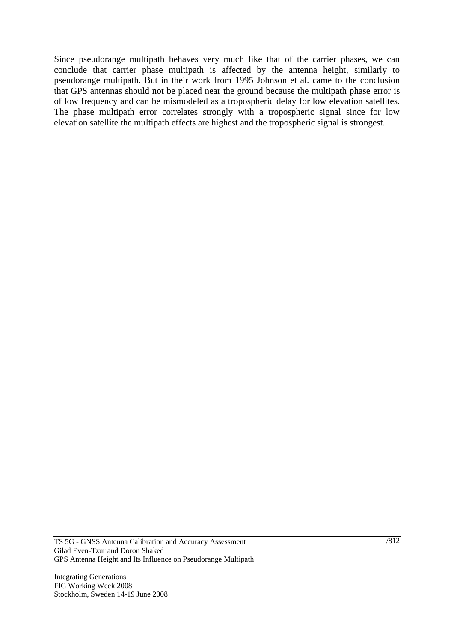Since pseudorange multipath behaves very much like that of the carrier phases, we can conclude that carrier phase multipath is affected by the antenna height, similarly to pseudorange multipath. But in their work from 1995 Johnson et al. came to the conclusion that GPS antennas should not be placed near the ground because the multipath phase error is of low frequency and can be mismodeled as a tropospheric delay for low elevation satellites. The phase multipath error correlates strongly with a tropospheric signal since for low elevation satellite the multipath effects are highest and the tropospheric signal is strongest.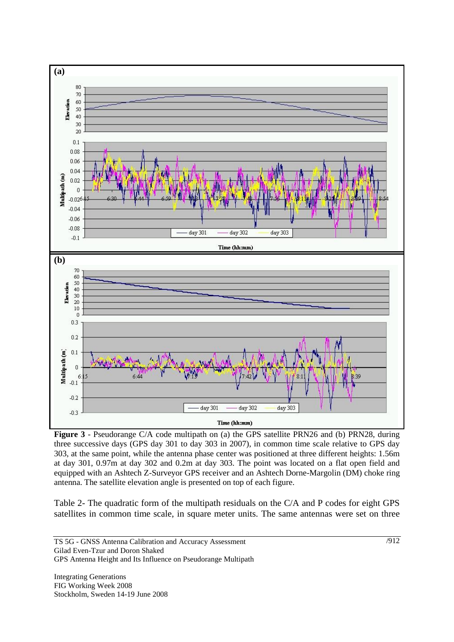

**Figure 3** - Pseudorange C/A code multipath on (a) the GPS satellite PRN26 and (b) PRN28, during three successive days (GPS day 301 to day 303 in 2007), in common time scale relative to GPS day 303, at the same point, while the antenna phase center was positioned at three different heights: 1.56m at day 301, 0.97m at day 302 and 0.2m at day 303. The point was located on a flat open field and equipped with an Ashtech Z-Surveyor GPS receiver and an Ashtech Dorne-Margolin (DM) choke ring antenna. The satellite elevation angle is presented on top of each figure.

Table 2- The quadratic form of the multipath residuals on the C/A and P codes for eight GPS satellites in common time scale, in square meter units. The same antennas were set on three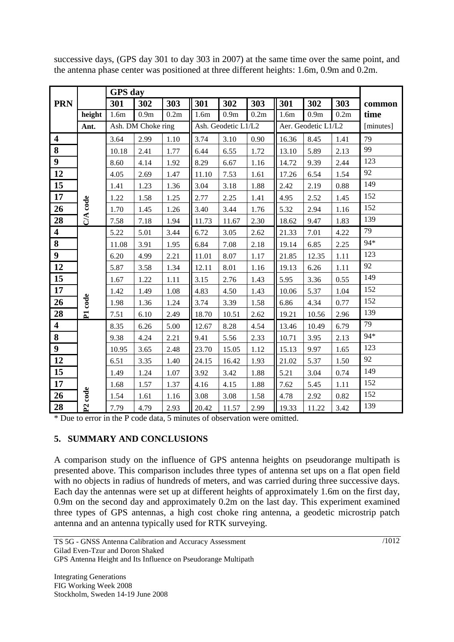|                         | GPS day             |                    |      |                     |                  |                     |          |                  |                  |      |        |
|-------------------------|---------------------|--------------------|------|---------------------|------------------|---------------------|----------|------------------|------------------|------|--------|
| <b>PRN</b>              |                     | 301                | 302  | 303                 | 301              | 302                 | 303      | 301              | 302              | 303  | common |
|                         | height              | 1.6m               | 0.9m | 0.2m                | 1.6 <sub>m</sub> | 0.9 <sub>m</sub>    | 0.2m     | 1.6 <sub>m</sub> | 0.9 <sub>m</sub> | 0.2m | time   |
|                         | Ant.                | Ash. DM Choke ring |      | Ash. Geodetic L1/L2 |                  | Aer. Geodetic L1/L2 |          |                  | [minutes]        |      |        |
| $\overline{\mathbf{4}}$ |                     | 3.64               | 2.99 | 1.10                | 3.74             | 3.10                | $0.90\,$ | 16.36            | 8.45             | 1.41 | 79     |
| 8                       |                     | 10.18              | 2.41 | 1.77                | 6.44             | 6.55                | 1.72     | 13.10            | 5.89             | 2.13 | 99     |
| $\boldsymbol{9}$        | C/A code            | 8.60               | 4.14 | 1.92                | 8.29             | 6.67                | 1.16     | 14.72            | 9.39             | 2.44 | 123    |
| 12                      |                     | 4.05               | 2.69 | 1.47                | 11.10            | 7.53                | 1.61     | 17.26            | 6.54             | 1.54 | 92     |
| 15                      |                     | 1.41               | 1.23 | 1.36                | 3.04             | 3.18                | 1.88     | 2.42             | 2.19             | 0.88 | 149    |
| 17                      |                     | 1.22               | 1.58 | 1.25                | 2.77             | 2.25                | 1.41     | 4.95             | 2.52             | 1.45 | 152    |
| 26                      |                     | 1.70               | 1.45 | 1.26                | 3.40             | 3.44                | 1.76     | 5.32             | 2.94             | 1.16 | 152    |
| 28                      |                     | 7.58               | 7.18 | 1.94                | 11.73            | 11.67               | 2.30     | 18.62            | 9.47             | 1.83 | 139    |
| $\overline{\mathbf{4}}$ |                     | 5.22               | 5.01 | 3.44                | 6.72             | 3.05                | 2.62     | 21.33            | 7.01             | 4.22 | 79     |
| 8                       |                     | 11.08              | 3.91 | 1.95                | 6.84             | 7.08                | 2.18     | 19.14            | 6.85             | 2.25 | 94*    |
| $\boldsymbol{9}$        |                     | 6.20               | 4.99 | 2.21                | 11.01            | 8.07                | 1.17     | 21.85            | 12.35            | 1.11 | 123    |
| 12                      |                     | 5.87               | 3.58 | 1.34                | 12.11            | 8.01                | 1.16     | 19.13            | 6.26             | 1.11 | 92     |
| 15                      |                     | 1.67               | 1.22 | 1.11                | 3.15             | 2.76                | 1.43     | 5.95             | 3.36             | 0.55 | 149    |
| 17                      | P1 code             | 1.42               | 1.49 | 1.08                | 4.83             | 4.50                | 1.43     | 10.06            | 5.37             | 1.04 | 152    |
| 26                      |                     | 1.98               | 1.36 | 1.24                | 3.74             | 3.39                | 1.58     | 6.86             | 4.34             | 0.77 | 152    |
| 28                      |                     | 7.51               | 6.10 | 2.49                | 18.70            | 10.51               | 2.62     | 19.21            | 10.56            | 2.96 | 139    |
| $\overline{\mathbf{4}}$ | P <sub>2</sub> code | 8.35               | 6.26 | 5.00                | 12.67            | 8.28                | 4.54     | 13.46            | 10.49            | 6.79 | 79     |
| 8                       |                     | 9.38               | 4.24 | 2.21                | 9.41             | 5.56                | 2.33     | 10.71            | 3.95             | 2.13 | 94*    |
| $\boldsymbol{9}$        |                     | 10.95              | 3.65 | 2.48                | 23.70            | 15.05               | 1.12     | 15.13            | 9.97             | 1.65 | 123    |
| 12                      |                     | 6.51               | 3.35 | 1.40                | 24.15            | 16.42               | 1.93     | 21.02            | 5.37             | 1.50 | 92     |
| 15                      |                     | 1.49               | 1.24 | 1.07                | 3.92             | 3.42                | 1.88     | 5.21             | 3.04             | 0.74 | 149    |
| 17                      |                     | 1.68               | 1.57 | 1.37                | 4.16             | 4.15                | 1.88     | 7.62             | 5.45             | 1.11 | 152    |
| 26                      |                     | 1.54               | 1.61 | 1.16                | 3.08             | 3.08                | 1.58     | 4.78             | 2.92             | 0.82 | 152    |
| 28                      |                     | 7.79               | 4.79 | 2.93                | 20.42            | 11.57               | 2.99     | 19.33            | 11.22            | 3.42 | 139    |

successive days, (GPS day 301 to day 303 in 2007) at the same time over the same point, and the antenna phase center was positioned at three different heights: 1.6m, 0.9m and 0.2m.

\* Due to error in the P code data, 5 minutes of observation were omitted.

## **5. SUMMARY AND CONCLUSIONS**

A comparison study on the influence of GPS antenna heights on pseudorange multipath is presented above. This comparison includes three types of antenna set ups on a flat open field with no objects in radius of hundreds of meters, and was carried during three successive days. Each day the antennas were set up at different heights of approximately 1.6m on the first day, 0.9m on the second day and approximately 0.2m on the last day. This experiment examined three types of GPS antennas, a high cost choke ring antenna, a geodetic microstrip patch antenna and an antenna typically used for RTK surveying.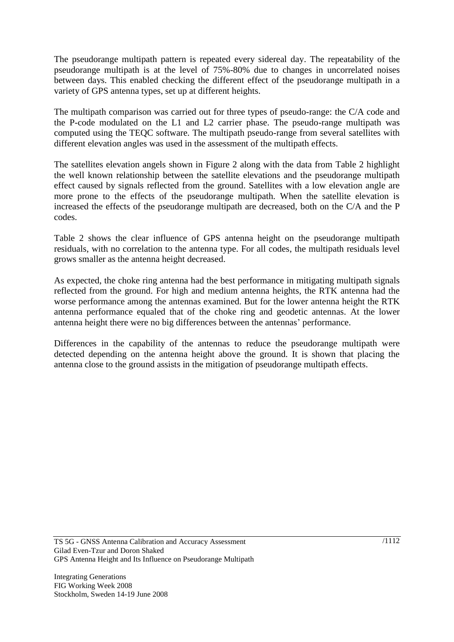The pseudorange multipath pattern is repeated every sidereal day. The repeatability of the pseudorange multipath is at the level of 75%-80% due to changes in uncorrelated noises between days. This enabled checking the different effect of the pseudorange multipath in a variety of GPS antenna types, set up at different heights.

The multipath comparison was carried out for three types of pseudo-range: the C/A code and the P-code modulated on the L1 and L2 carrier phase. The pseudo-range multipath was computed using the TEQC software. The multipath pseudo-range from several satellites with different elevation angles was used in the assessment of the multipath effects.

The satellites elevation angels shown in Figure 2 along with the data from Table 2 highlight the well known relationship between the satellite elevations and the pseudorange multipath effect caused by signals reflected from the ground. Satellites with a low elevation angle are more prone to the effects of the pseudorange multipath. When the satellite elevation is increased the effects of the pseudorange multipath are decreased, both on the C/A and the P codes.

Table 2 shows the clear influence of GPS antenna height on the pseudorange multipath residuals, with no correlation to the antenna type. For all codes, the multipath residuals level grows smaller as the antenna height decreased.

As expected, the choke ring antenna had the best performance in mitigating multipath signals reflected from the ground. For high and medium antenna heights, the RTK antenna had the worse performance among the antennas examined. But for the lower antenna height the RTK antenna performance equaled that of the choke ring and geodetic antennas. At the lower antenna height there were no big differences between the antennas' performance.

Differences in the capability of the antennas to reduce the pseudorange multipath were detected depending on the antenna height above the ground. It is shown that placing the antenna close to the ground assists in the mitigation of pseudorange multipath effects.